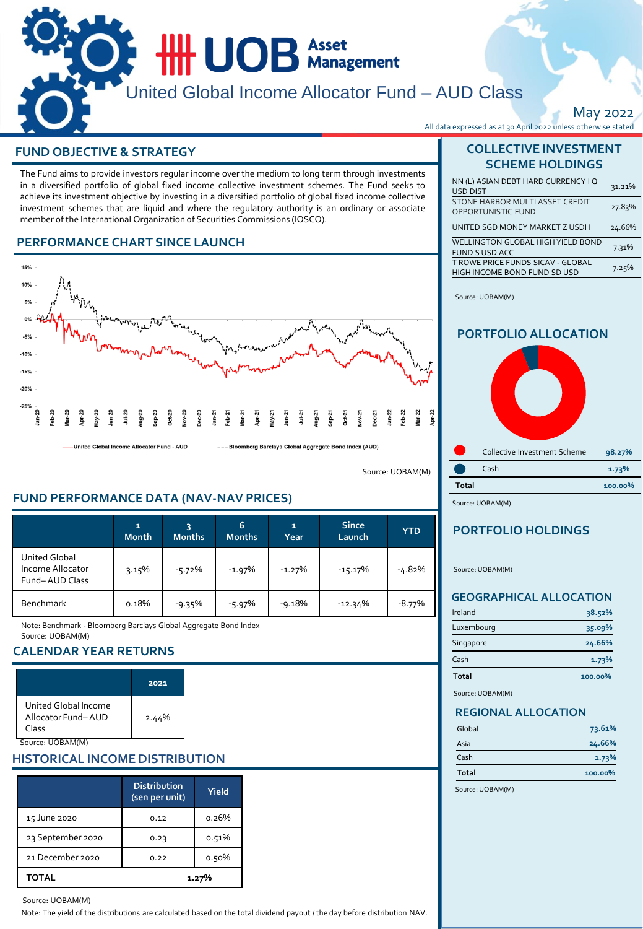

May 2022

# **FUND OBJECTIVE & STRATEGY AND RESOLUTION COLLECTIVE INVESTMENT**

The Fund aims to provide investors regular income over the medium to long term through investments in a diversified portfolio of global fixed income collective investment schemes. The Fund seeks to achieve its investment objective by investing in a diversified portfolio of global fixed income collective investment schemes that are liquid and where the regulatory authority is an ordinary or associate member of the International Organization of Securities Commissions (IOSCO).

## **PERFORMANCE CHART SINCE LAUNCH**



United Global Income Allocator Fund - AUD

--- Bloomberg Barclays Global Aggregate Bond Index (AUD)

Source: UOBAM(M)

# **FUND PERFORMANCE DATA (NAV-NAV PRICES)**

|                                                            | 1<br><b>Month</b> | <b>Months</b> | 6<br><b>Months</b> | 1<br>Year | <b>Since</b><br>Launch | <b>YTD</b> |
|------------------------------------------------------------|-------------------|---------------|--------------------|-----------|------------------------|------------|
| <b>United Global</b><br>Income Allocator<br>Fund-AUD Class | 3.15%             | $-5.72%$      | $-1.97%$           | $-1.27%$  | $-15.17%$              | $-4.82%$   |
| <b>Benchmark</b>                                           | 0.18%             | $-9.35%$      | $-5.97%$           | $-9.18%$  | $-12.34%$              | $-8.77%$   |

Note: Benchmark - Bloomberg Barclays Global Aggregate Bond Index Source: UOBAM(M)

## **CALENDAR YEAR RETURNS**

|                                                     | 2021  |
|-----------------------------------------------------|-------|
| United Global Income<br>Allocator Fund-AUD<br>Class | 2.44% |
|                                                     |       |

# **HISTORICAL INCOME DISTRIBUTION**

|                   | <b>Distribution</b><br>(sen per unit) | Yield |
|-------------------|---------------------------------------|-------|
| 15 June 2020      | 0.12                                  | 0.26% |
| 23 September 2020 | 0.23                                  | 0.51% |
| 21 December 2020  | 0.22                                  | 0.50% |
| <b>TOTAL</b>      |                                       | 1.27% |

#### Source: UOBAM(M)

Note: The yield of the distributions are calculated based on the total dividend payout / the day before distribution NAV.

# **SCHEME HOLDINGS**

| NN (L) ASIAN DEBT HARD CURRENCY I Q<br><b>USD DIST</b>                   | 31.21% |
|--------------------------------------------------------------------------|--------|
| STONE HARBOR MULTI ASSET CREDIT<br><b>OPPORTUNISTIC FUND</b>             | 27.83% |
| UNITED SGD MONEY MARKET Z USDH                                           | 24.66% |
| WELLINGTON GLOBAL HIGH YIELD BOND<br><b>FUND S USD ACC</b>               | 7.31%  |
| <b>T ROWE PRICE FUNDS SICAV - GLOBAL</b><br>HIGH INCOME BOND FUND SD USD | 7.25%  |

Source: UOBAM(M)

## **PORTFOLIO ALLOCATION**



Source: UOBAM(M)

# **PORTFOLIO HOLDINGS**

Source: UOBAM(M)

### **GEOGRAPHICAL ALLOCATION**

| Ireland    | 38.52%  |
|------------|---------|
| Luxembourg | 35.09%  |
| Singapore  | 24.66%  |
| Cash       | 1.73%   |
| Total      | 100.00% |
|            |         |

Source: UOBAM(M)

### **REGIONAL ALLOCATION**

| Global       | 73.61%  |
|--------------|---------|
| Asia         | 24.66%  |
| Cash         | 1.73%   |
| <b>Total</b> | 100.00% |

Source: UOBAM(M)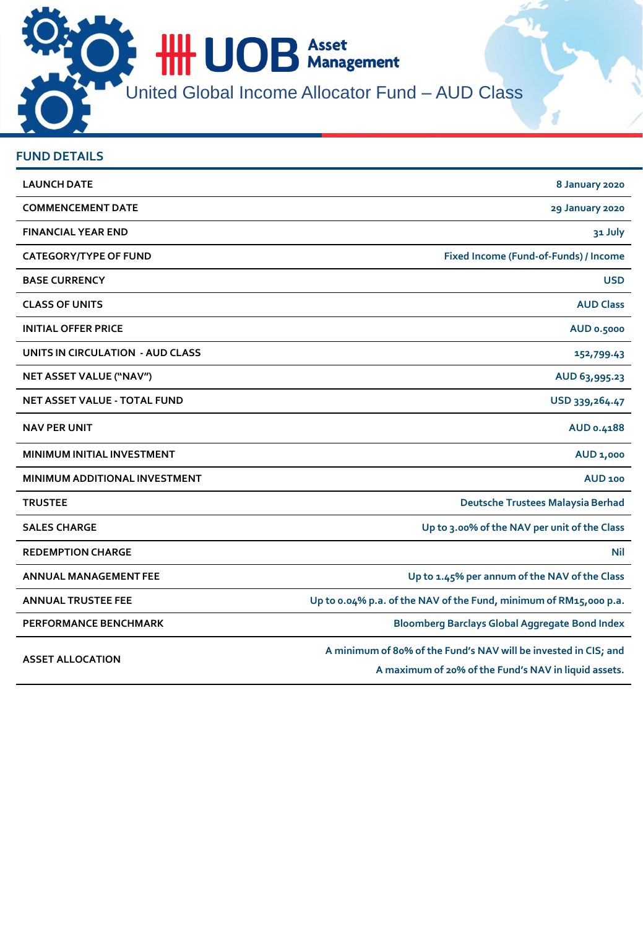**HIL UOB** Asset United Global Income Allocator Fund – AUD Class

| <b>FUND DETAILS</b>                  |                                                                                                                         |
|--------------------------------------|-------------------------------------------------------------------------------------------------------------------------|
| <b>LAUNCH DATE</b>                   | 8 January 2020                                                                                                          |
| <b>COMMENCEMENT DATE</b>             | 29 January 2020                                                                                                         |
| <b>FINANCIAL YEAR END</b>            | 31 July                                                                                                                 |
| <b>CATEGORY/TYPE OF FUND</b>         | Fixed Income (Fund-of-Funds) / Income                                                                                   |
| <b>BASE CURRENCY</b>                 | <b>USD</b>                                                                                                              |
| <b>CLASS OF UNITS</b>                | <b>AUD Class</b>                                                                                                        |
| <b>INITIAL OFFER PRICE</b>           | AUD 0.5000                                                                                                              |
| UNITS IN CIRCULATION - AUD CLASS     | 152,799.43                                                                                                              |
| NET ASSET VALUE ("NAV")              | AUD 63,995.23                                                                                                           |
| <b>NET ASSET VALUE - TOTAL FUND</b>  | USD 339, 264.47                                                                                                         |
| <b>NAV PER UNIT</b>                  | AUD 0.4188                                                                                                              |
| MINIMUM INITIAL INVESTMENT           | AUD 1,000                                                                                                               |
| <b>MINIMUM ADDITIONAL INVESTMENT</b> | <b>AUD 100</b>                                                                                                          |
| <b>TRUSTEE</b>                       | Deutsche Trustees Malaysia Berhad                                                                                       |
| <b>SALES CHARGE</b>                  | Up to 3.00% of the NAV per unit of the Class                                                                            |
| <b>REDEMPTION CHARGE</b>             | Nil                                                                                                                     |
| <b>ANNUAL MANAGEMENT FEE</b>         | Up to 1.45% per annum of the NAV of the Class                                                                           |
| <b>ANNUAL TRUSTEE FEE</b>            | Up to 0.04% p.a. of the NAV of the Fund, minimum of RM15,000 p.a.                                                       |
| <b>PERFORMANCE BENCHMARK</b>         | <b>Bloomberg Barclays Global Aggregate Bond Index</b>                                                                   |
| <b>ASSET ALLOCATION</b>              | A minimum of 80% of the Fund's NAV will be invested in CIS; and<br>A maximum of 20% of the Fund's NAV in liquid assets. |